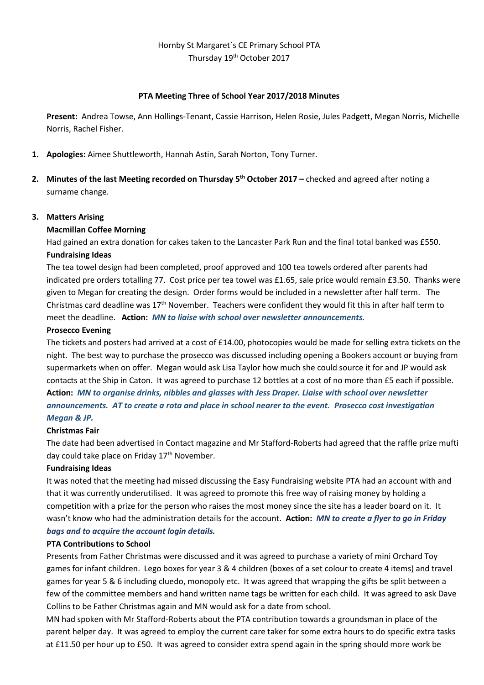# **PTA Meeting Three of School Year 2017/2018 Minutes**

**Present:** Andrea Towse, Ann Hollings-Tenant, Cassie Harrison, Helen Rosie, Jules Padgett, Megan Norris, Michelle Norris, Rachel Fisher.

- **1. Apologies:** Aimee Shuttleworth, Hannah Astin, Sarah Norton, Tony Turner.
- **2. Minutes of the last Meeting recorded on Thursday 5 th October 2017 –** checked and agreed after noting a surname change.

# **3. Matters Arising**

# **Macmillan Coffee Morning**

Had gained an extra donation for cakes taken to the Lancaster Park Run and the final total banked was £550. **Fundraising Ideas**

The tea towel design had been completed, proof approved and 100 tea towels ordered after parents had indicated pre orders totalling 77. Cost price per tea towel was £1.65, sale price would remain £3.50. Thanks were given to Megan for creating the design. Order forms would be included in a newsletter after half term. The Christmas card deadline was  $17<sup>th</sup>$  November. Teachers were confident they would fit this in after half term to meet the deadline. **Action:** *MN to liaise with school over newsletter announcements.*

## **Prosecco Evening**

The tickets and posters had arrived at a cost of £14.00, photocopies would be made for selling extra tickets on the night. The best way to purchase the prosecco was discussed including opening a Bookers account or buying from supermarkets when on offer. Megan would ask Lisa Taylor how much she could source it for and JP would ask contacts at the Ship in Caton. It was agreed to purchase 12 bottles at a cost of no more than £5 each if possible.

**Action:** *MN to organise drinks, nibbles and glasses with Jess Draper. Liaise with school over newsletter announcements. AT to create a rota and place in school nearer to the event. Prosecco cost investigation Megan & JP.*

**Christmas Fair** 

The date had been advertised in Contact magazine and Mr Stafford-Roberts had agreed that the raffle prize mufti day could take place on Friday  $17<sup>th</sup>$  November.

# **Fundraising Ideas**

It was noted that the meeting had missed discussing the Easy Fundraising website PTA had an account with and that it was currently underutilised. It was agreed to promote this free way of raising money by holding a competition with a prize for the person who raises the most money since the site has a leader board on it. It wasn't know who had the administration details for the account. **Action:** *MN to create a flyer to go in Friday bags and to acquire the account login details.*

## **PTA Contributions to School**

Presents from Father Christmas were discussed and it was agreed to purchase a variety of mini Orchard Toy games for infant children. Lego boxes for year 3 & 4 children (boxes of a set colour to create 4 items) and travel games for year 5 & 6 including cluedo, monopoly etc. It was agreed that wrapping the gifts be split between a few of the committee members and hand written name tags be written for each child. It was agreed to ask Dave Collins to be Father Christmas again and MN would ask for a date from school.

MN had spoken with Mr Stafford-Roberts about the PTA contribution towards a groundsman in place of the parent helper day. It was agreed to employ the current care taker for some extra hours to do specific extra tasks at £11.50 per hour up to £50. It was agreed to consider extra spend again in the spring should more work be